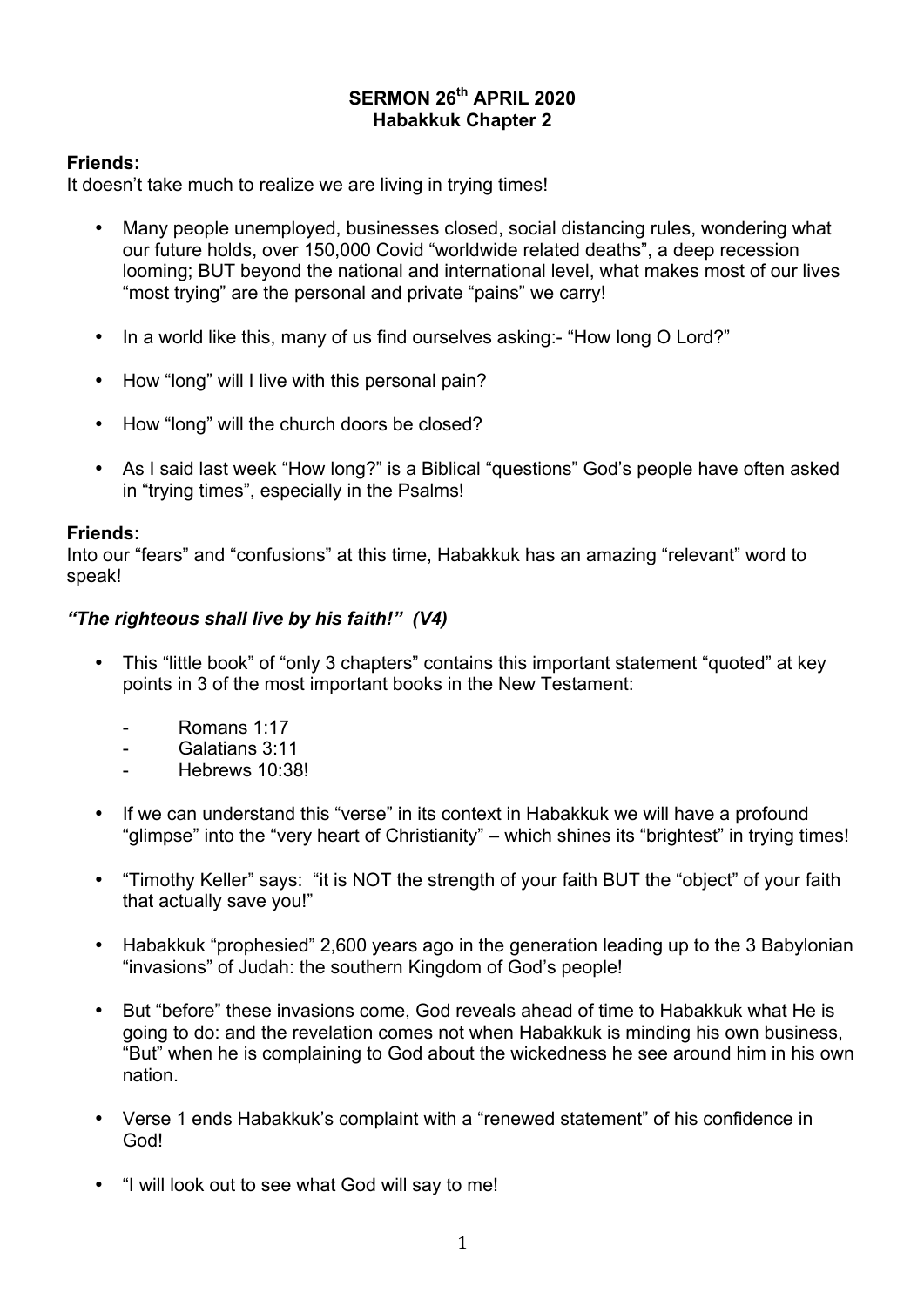# **SERMON 26th APRIL 2020 Habakkuk Chapter 2**

# **Friends:**

It doesn't take much to realize we are living in trying times!

- Many people unemployed, businesses closed, social distancing rules, wondering what our future holds, over 150,000 Covid "worldwide related deaths", a deep recession looming; BUT beyond the national and international level, what makes most of our lives "most trying" are the personal and private "pains" we carry!
- In a world like this, many of us find ourselves asking:- "How long O Lord?"
- How "long" will I live with this personal pain?
- How "long" will the church doors be closed?
- As I said last week "How long?" is a Biblical "questions" God's people have often asked in "trying times", especially in the Psalms!

## **Friends:**

Into our "fears" and "confusions" at this time, Habakkuk has an amazing "relevant" word to speak!

# *"The righteous shall live by his faith!" (V4)*

- This "little book" of "only 3 chapters" contains this important statement "quoted" at key points in 3 of the most important books in the New Testament:
	- Romans 1:17
	- Galatians 3:11
	- Hebrews 10:38!
- If we can understand this "verse" in its context in Habakkuk we will have a profound "glimpse" into the "very heart of Christianity" – which shines its "brightest" in trying times!
- "Timothy Keller" says: "it is NOT the strength of your faith BUT the "object" of your faith that actually save you!"
- Habakkuk "prophesied" 2,600 years ago in the generation leading up to the 3 Babylonian "invasions" of Judah: the southern Kingdom of God's people!
- But "before" these invasions come, God reveals ahead of time to Habakkuk what He is going to do: and the revelation comes not when Habakkuk is minding his own business, "But" when he is complaining to God about the wickedness he see around him in his own nation.
- Verse 1 ends Habakkuk's complaint with a "renewed statement" of his confidence in God!
- "I will look out to see what God will say to me!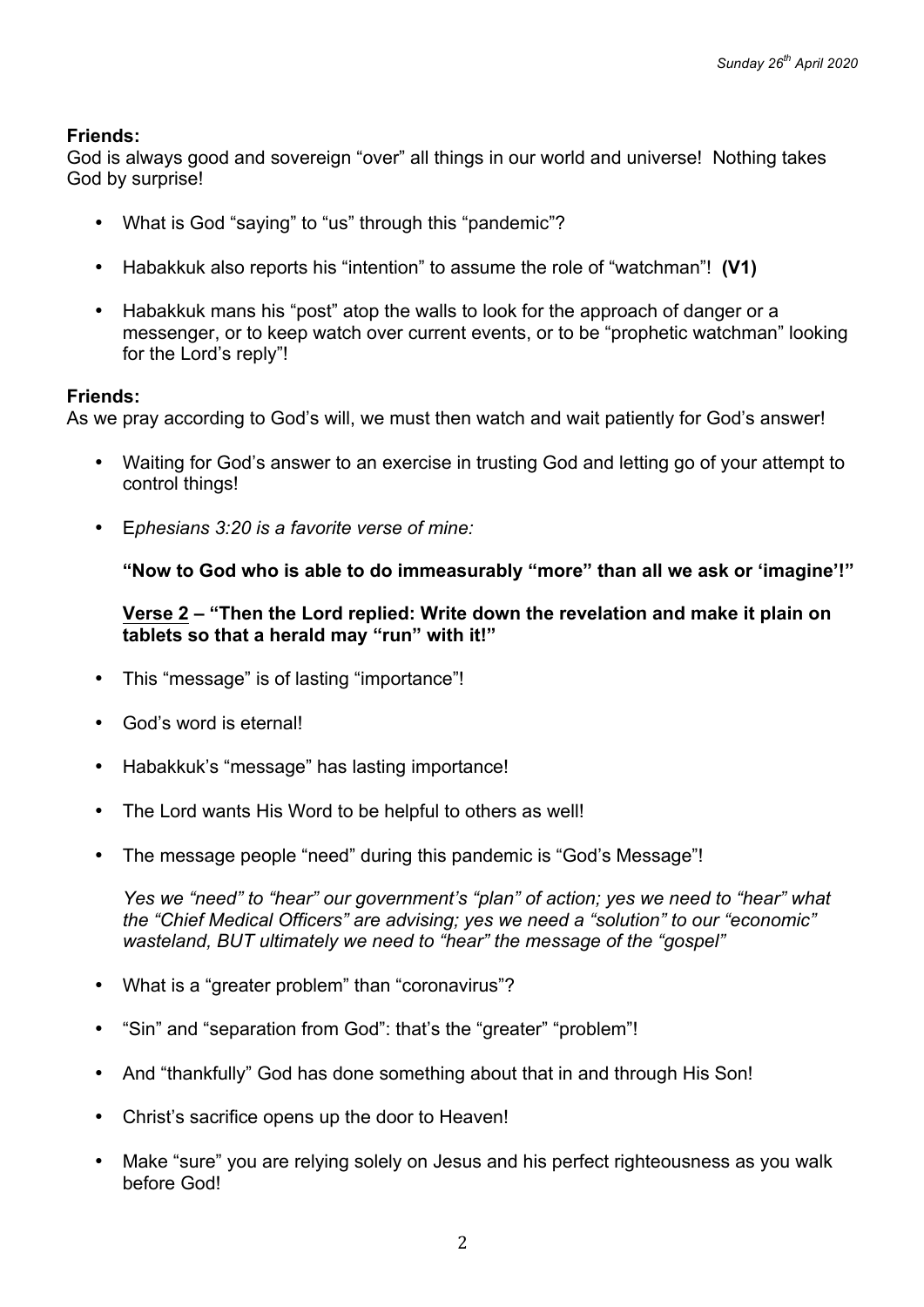God is always good and sovereign "over" all things in our world and universe! Nothing takes God by surprise!

- What is God "saying" to "us" through this "pandemic"?
- Habakkuk also reports his "intention" to assume the role of "watchman"! **(V1)**
- Habakkuk mans his "post" atop the walls to look for the approach of danger or a messenger, or to keep watch over current events, or to be "prophetic watchman" looking for the Lord's reply"!

### **Friends:**

As we pray according to God's will, we must then watch and wait patiently for God's answer!

- Waiting for God's answer to an exercise in trusting God and letting go of your attempt to control things!
- E*phesians 3:20 is a favorite verse of mine:*

**"Now to God who is able to do immeasurably "more" than all we ask or 'imagine'!"**

### **Verse 2 – "Then the Lord replied: Write down the revelation and make it plain on tablets so that a herald may "run" with it!"**

- This "message" is of lasting "importance"!
- God's word is eternal!
- Habakkuk's "message" has lasting importance!
- The Lord wants His Word to be helpful to others as well!
- The message people "need" during this pandemic is "God's Message"!

*Yes we "need" to "hear" our government's "plan" of action; yes we need to "hear" what the "Chief Medical Officers" are advising; yes we need a "solution" to our "economic" wasteland, BUT ultimately we need to "hear" the message of the "gospel"*

- What is a "greater problem" than "coronavirus"?
- "Sin" and "separation from God": that's the "greater" "problem"!
- And "thankfully" God has done something about that in and through His Son!
- Christ's sacrifice opens up the door to Heaven!
- Make "sure" you are relying solely on Jesus and his perfect righteousness as you walk before God!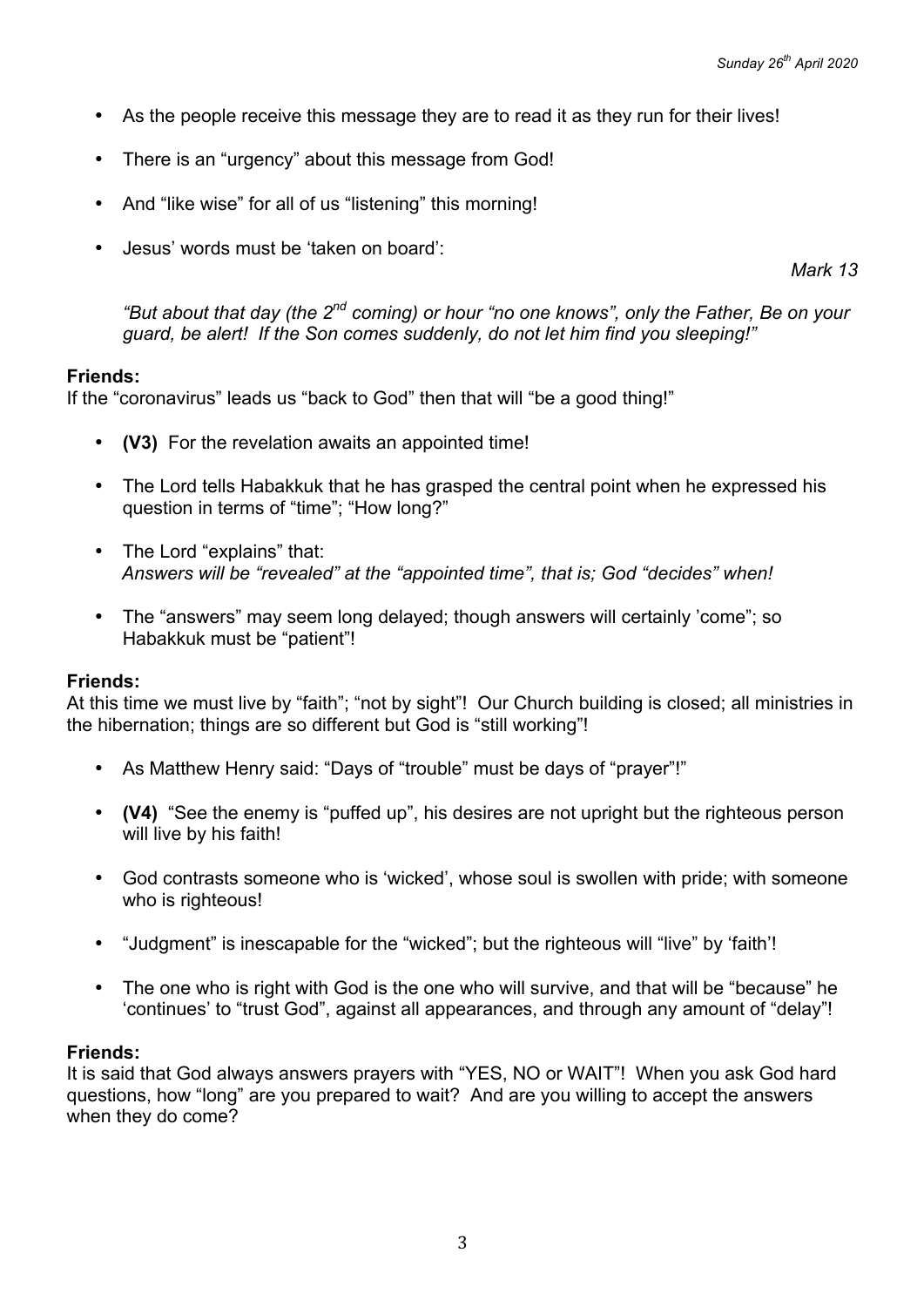- As the people receive this message they are to read it as they run for their lives!
- There is an "urgency" about this message from God!
- And "like wise" for all of us "listening" this morning!
- Jesus' words must be 'taken on board':

*Mark 13*

*"But about that day (the 2nd coming) or hour "no one knows", only the Father, Be on your guard, be alert! If the Son comes suddenly, do not let him find you sleeping!"*

#### **Friends:**

If the "coronavirus" leads us "back to God" then that will "be a good thing!"

- **(V3)** For the revelation awaits an appointed time!
- The Lord tells Habakkuk that he has grasped the central point when he expressed his question in terms of "time"; "How long?"
- The Lord "explains" that: *Answers will be "revealed" at the "appointed time", that is; God "decides" when!*
- The "answers" may seem long delayed; though answers will certainly 'come"; so Habakkuk must be "patient"!

### **Friends:**

At this time we must live by "faith"; "not by sight"! Our Church building is closed; all ministries in the hibernation; things are so different but God is "still working"!

- As Matthew Henry said: "Days of "trouble" must be days of "prayer"!"
- **(V4)** "See the enemy is "puffed up", his desires are not upright but the righteous person will live by his faith!
- God contrasts someone who is 'wicked', whose soul is swollen with pride; with someone who is righteous!
- "Judgment" is inescapable for the "wicked"; but the righteous will "live" by 'faith'!
- The one who is right with God is the one who will survive, and that will be "because" he 'continues' to "trust God", against all appearances, and through any amount of "delay"!

### **Friends:**

It is said that God always answers prayers with "YES, NO or WAIT"! When you ask God hard questions, how "long" are you prepared to wait? And are you willing to accept the answers when they do come?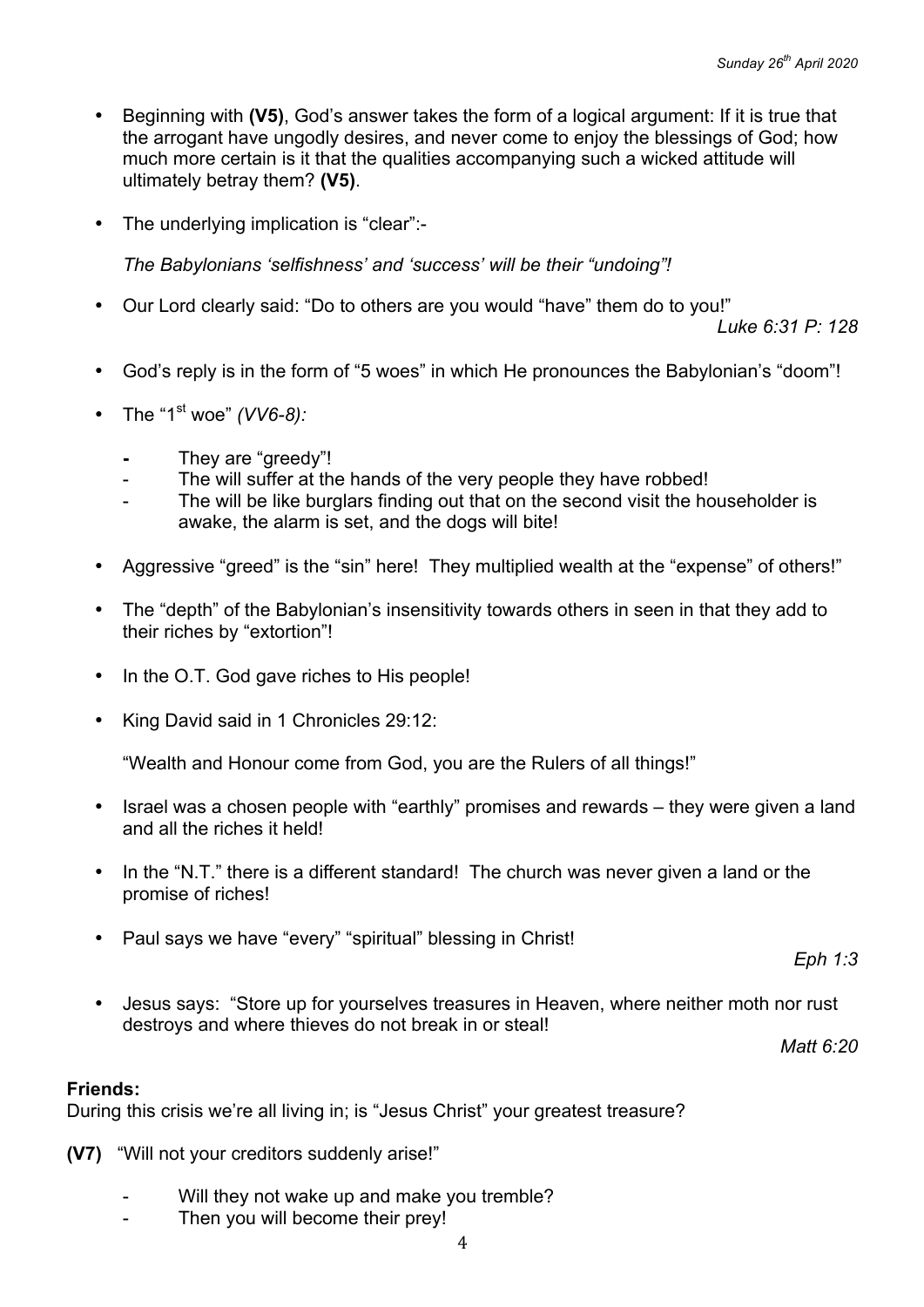- Beginning with **(V5)**, God's answer takes the form of a logical argument: If it is true that the arrogant have ungodly desires, and never come to enjoy the blessings of God; how much more certain is it that the qualities accompanying such a wicked attitude will ultimately betray them? **(V5)**.
- The underlying implication is "clear":-

*The Babylonians 'selfishness' and 'success' will be their "undoing"!*

• Our Lord clearly said: "Do to others are you would "have" them do to you!"

*Luke 6:31 P: 128*

- God's reply is in the form of "5 woes" in which He pronounces the Babylonian's "doom"!
- The "1st woe" *(VV6-8):*
	- **-** They are "greedy"!
	- The will suffer at the hands of the very people they have robbed!
	- The will be like burglars finding out that on the second visit the householder is awake, the alarm is set, and the dogs will bite!
- Aggressive "greed" is the "sin" here! They multiplied wealth at the "expense" of others!"
- The "depth" of the Babylonian's insensitivity towards others in seen in that they add to their riches by "extortion"!
- In the O.T. God gave riches to His people!
- King David said in 1 Chronicles 29:12:

"Wealth and Honour come from God, you are the Rulers of all things!"

- Israel was a chosen people with "earthly" promises and rewards they were given a land and all the riches it held!
- In the "N.T." there is a different standard! The church was never given a land or the promise of riches!
- Paul says we have "every" "spiritual" blessing in Christ!

*Eph 1:3*

• Jesus says: "Store up for yourselves treasures in Heaven, where neither moth nor rust destroys and where thieves do not break in or steal!

*Matt 6:20*

### **Friends:**

During this crisis we're all living in; is "Jesus Christ" your greatest treasure?

**(V7)** "Will not your creditors suddenly arise!"

- Will they not wake up and make you tremble?
- Then you will become their prey!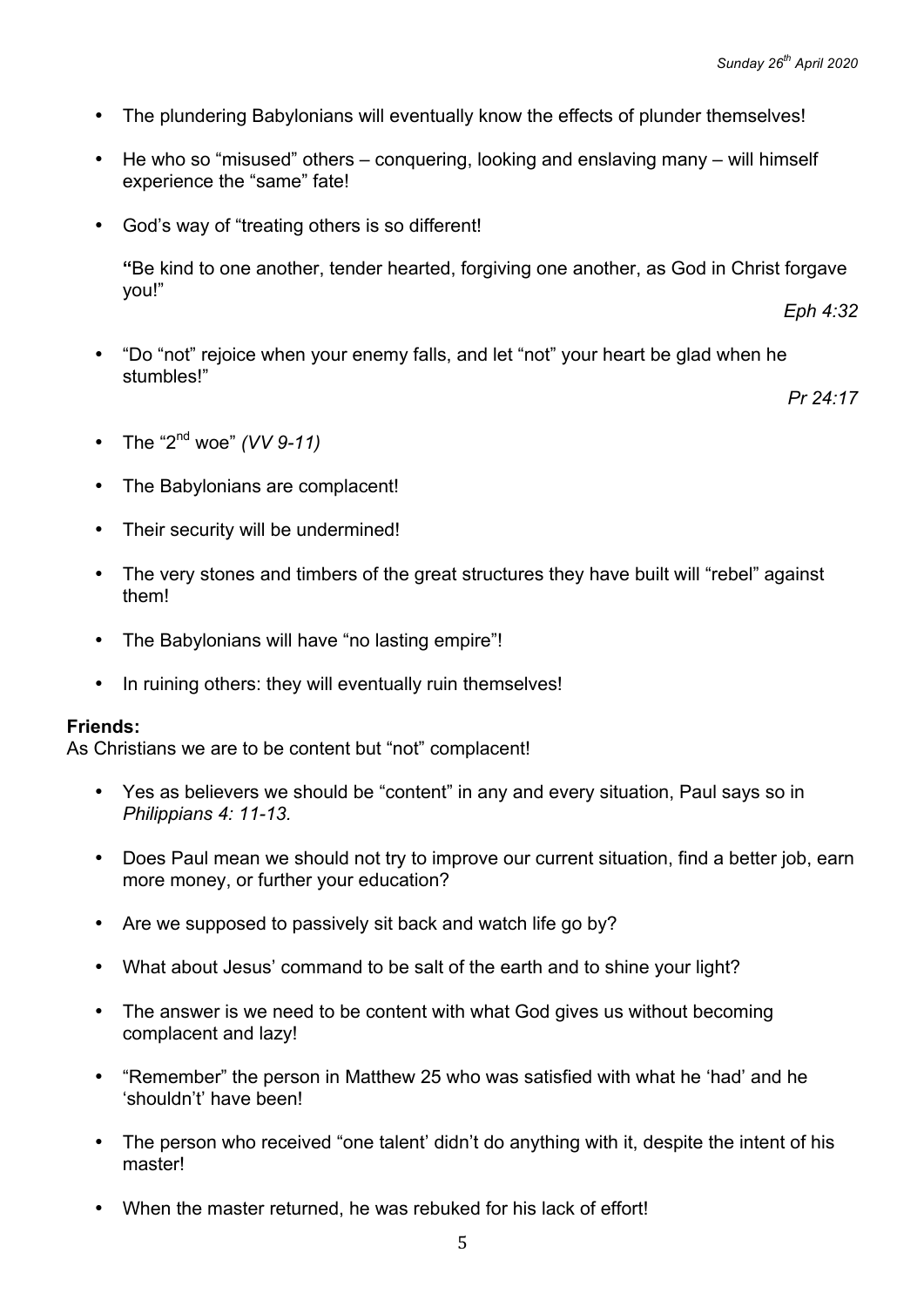- The plundering Babylonians will eventually know the effects of plunder themselves!
- He who so "misused" others conquering, looking and enslaving many will himself experience the "same" fate!
- God's way of "treating others is so different!

**"**Be kind to one another, tender hearted, forgiving one another, as God in Christ forgave you!"

*Eph 4:32*

• "Do "not" rejoice when your enemy falls, and let "not" your heart be glad when he stumbles!"

*Pr 24:17*

- The "2<sup>nd</sup> woe"  $(VV 9-11)$
- The Babylonians are complacent!
- Their security will be undermined!
- The very stones and timbers of the great structures they have built will "rebel" against them!
- The Babylonians will have "no lasting empire"!
- In ruining others: they will eventually ruin themselves!

#### **Friends:**

As Christians we are to be content but "not" complacent!

- Yes as believers we should be "content" in any and every situation, Paul says so in *Philippians 4: 11-13.*
- Does Paul mean we should not try to improve our current situation, find a better job, earn more money, or further your education?
- Are we supposed to passively sit back and watch life go by?
- What about Jesus' command to be salt of the earth and to shine your light?
- The answer is we need to be content with what God gives us without becoming complacent and lazy!
- "Remember" the person in Matthew 25 who was satisfied with what he 'had' and he 'shouldn't' have been!
- The person who received "one talent' didn't do anything with it, despite the intent of his master!
- When the master returned, he was rebuked for his lack of effort!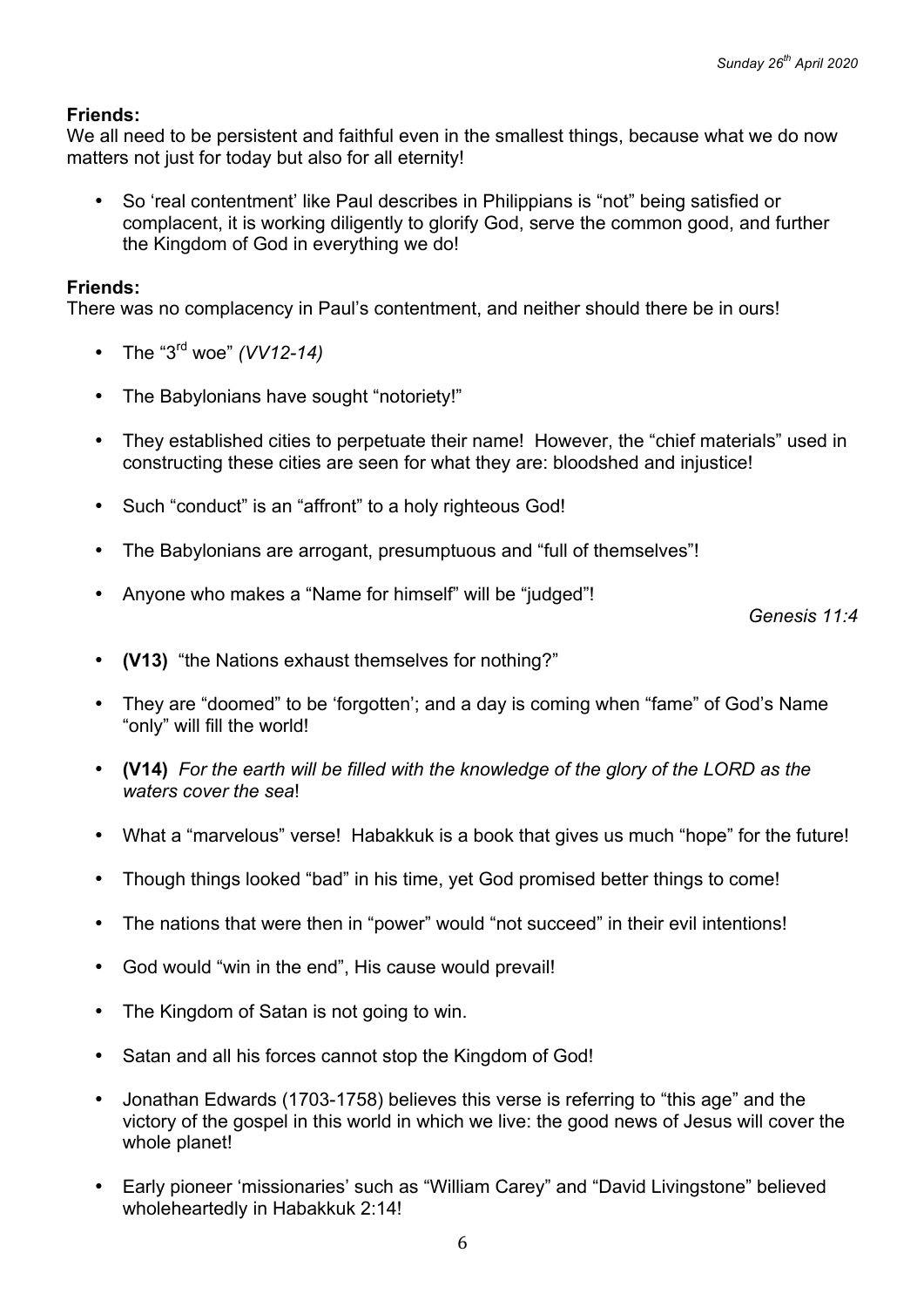We all need to be persistent and faithful even in the smallest things, because what we do now matters not just for today but also for all eternity!

• So 'real contentment' like Paul describes in Philippians is "not" being satisfied or complacent, it is working diligently to glorify God, serve the common good, and further the Kingdom of God in everything we do!

#### **Friends:**

There was no complacency in Paul's contentment, and neither should there be in ours!

- The "3rd woe" *(VV12-14)*
- The Babylonians have sought "notoriety!"
- They established cities to perpetuate their name! However, the "chief materials" used in constructing these cities are seen for what they are: bloodshed and injustice!
- Such "conduct" is an "affront" to a holy righteous God!
- The Babylonians are arrogant, presumptuous and "full of themselves"!
- Anyone who makes a "Name for himself" will be "judged"!

*Genesis 11:4*

- **(V13)** "the Nations exhaust themselves for nothing?"
- They are "doomed" to be 'forgotten'; and a day is coming when "fame" of God's Name "only" will fill the world!
- **(V14)** *For the earth will be filled with the knowledge of the glory of the LORD as the waters cover the sea*!
- What a "marvelous" verse! Habakkuk is a book that gives us much "hope" for the future!
- Though things looked "bad" in his time, yet God promised better things to come!
- The nations that were then in "power" would "not succeed" in their evil intentions!
- God would "win in the end", His cause would prevail!
- The Kingdom of Satan is not going to win.
- Satan and all his forces cannot stop the Kingdom of God!
- Jonathan Edwards (1703-1758) believes this verse is referring to "this age" and the victory of the gospel in this world in which we live: the good news of Jesus will cover the whole planet!
- Early pioneer 'missionaries' such as "William Carey" and "David Livingstone" believed wholeheartedly in Habakkuk 2:14!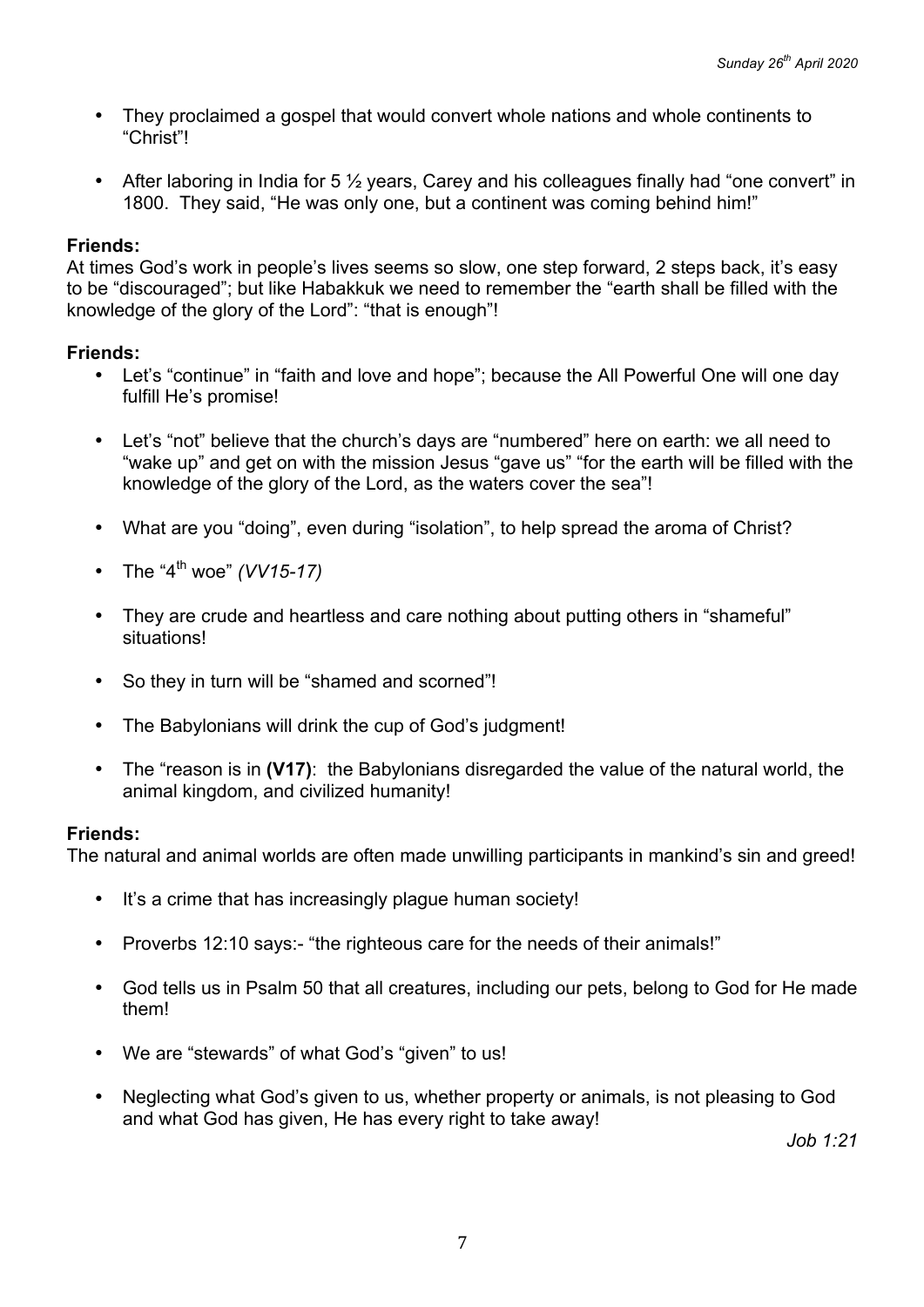- They proclaimed a gospel that would convert whole nations and whole continents to "Christ"!
- After laboring in India for 5  $\frac{1}{2}$  years, Carey and his colleagues finally had "one convert" in 1800. They said, "He was only one, but a continent was coming behind him!"

At times God's work in people's lives seems so slow, one step forward, 2 steps back, it's easy to be "discouraged"; but like Habakkuk we need to remember the "earth shall be filled with the knowledge of the glory of the Lord": "that is enough"!

### **Friends:**

- Let's "continue" in "faith and love and hope"; because the All Powerful One will one day fulfill He's promise!
- Let's "not" believe that the church's days are "numbered" here on earth: we all need to "wake up" and get on with the mission Jesus "gave us" "for the earth will be filled with the knowledge of the glory of the Lord, as the waters cover the sea"!
- What are you "doing", even during "isolation", to help spread the aroma of Christ?
- The "4<sup>th</sup> woe"  $(VV15-17)$
- They are crude and heartless and care nothing about putting others in "shameful" situations!
- So they in turn will be "shamed and scorned"!
- The Babylonians will drink the cup of God's judgment!
- The "reason is in **(V17)**: the Babylonians disregarded the value of the natural world, the animal kingdom, and civilized humanity!

### **Friends:**

The natural and animal worlds are often made unwilling participants in mankind's sin and greed!

- It's a crime that has increasingly plague human society!
- Proverbs 12:10 says:- "the righteous care for the needs of their animals!"
- God tells us in Psalm 50 that all creatures, including our pets, belong to God for He made them!
- We are "stewards" of what God's "given" to us!
- Neglecting what God's given to us, whether property or animals, is not pleasing to God and what God has given, He has every right to take away!

*Job 1:21*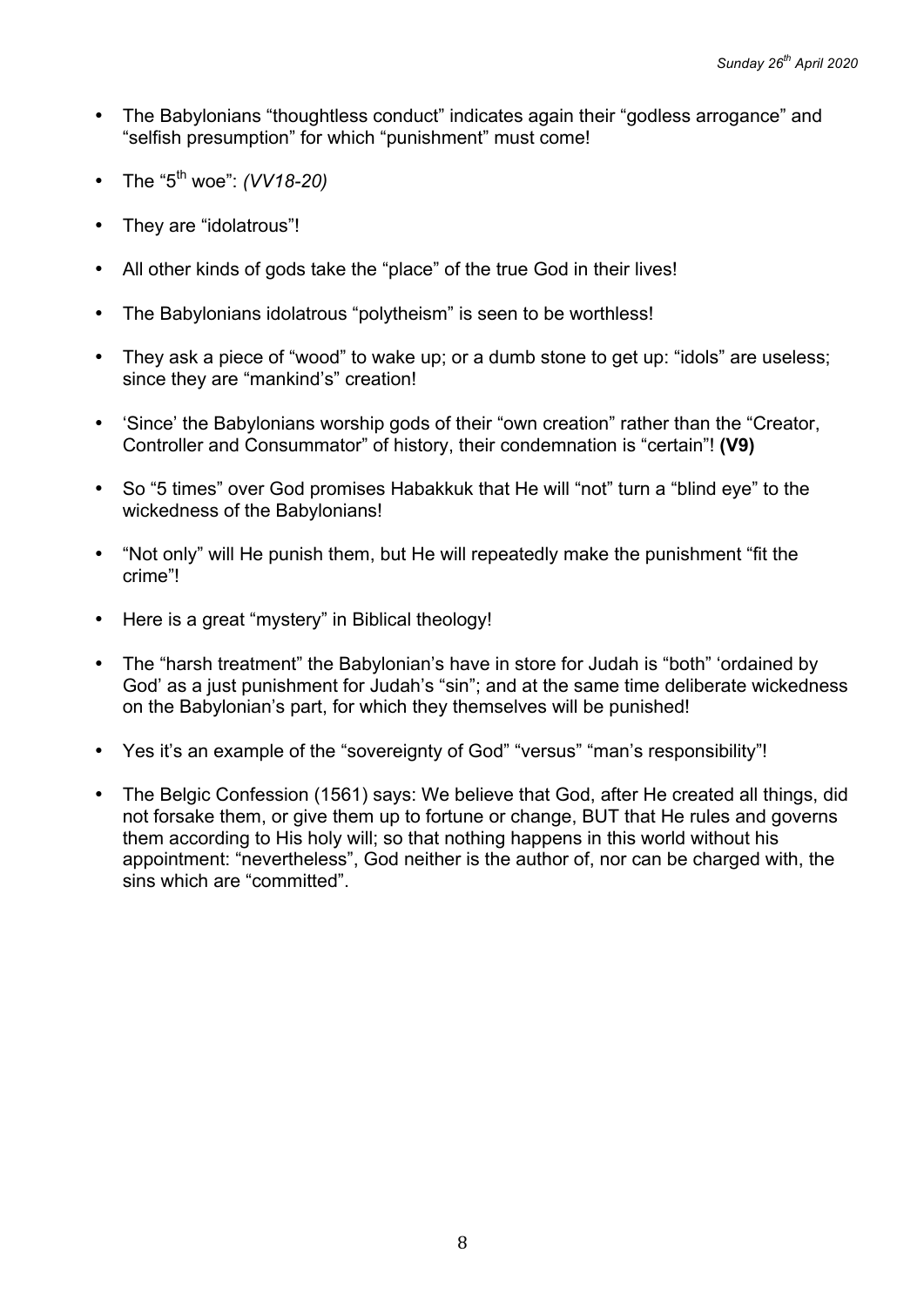- The Babylonians "thoughtless conduct" indicates again their "godless arrogance" and "selfish presumption" for which "punishment" must come!
- The "5th woe": *(VV18-20)*
- They are "idolatrous"!
- All other kinds of gods take the "place" of the true God in their lives!
- The Babylonians idolatrous "polytheism" is seen to be worthless!
- They ask a piece of "wood" to wake up; or a dumb stone to get up: "idols" are useless; since they are "mankind's" creation!
- 'Since' the Babylonians worship gods of their "own creation" rather than the "Creator, Controller and Consummator" of history, their condemnation is "certain"! **(V9)**
- So "5 times" over God promises Habakkuk that He will "not" turn a "blind eye" to the wickedness of the Babylonians!
- "Not only" will He punish them, but He will repeatedly make the punishment "fit the crime"!
- Here is a great "mystery" in Biblical theology!
- The "harsh treatment" the Babylonian's have in store for Judah is "both" 'ordained by God' as a just punishment for Judah's "sin"; and at the same time deliberate wickedness on the Babylonian's part, for which they themselves will be punished!
- Yes it's an example of the "sovereignty of God" "versus" "man's responsibility"!
- The Belgic Confession (1561) says: We believe that God, after He created all things, did not forsake them, or give them up to fortune or change, BUT that He rules and governs them according to His holy will; so that nothing happens in this world without his appointment: "nevertheless", God neither is the author of, nor can be charged with, the sins which are "committed"